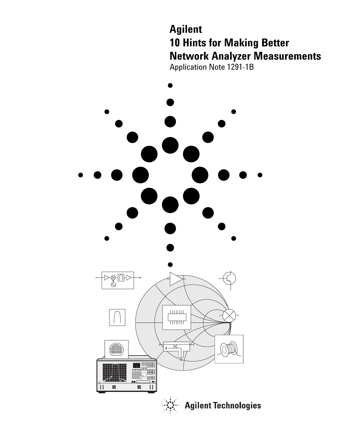# **Agilent 10 Hints for Making Better Network Analyzer Measurements**  Application Note 1291-1B

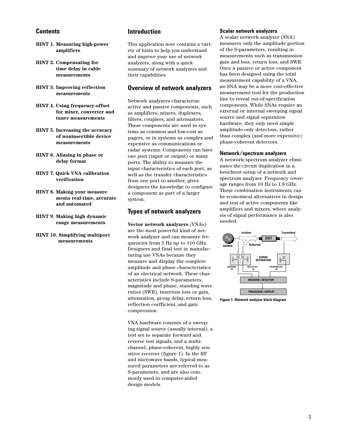### **Contents**

- **HINT 1. Measuring high-power amplifiers**
- **HINT 2. Compensating for time delay in cable measurements**
- **HINT 3. Improving reflection measurements**
- **HINT 4. Using frequency-offset for mixer, converter and tuner measurements**
- **HINT 5. Increasing the accuracy of noninsertible device measurements**
- **HINT 6. Aliasing in phase or delay format**
- **HINT 7. Quick VNA calibration verification**
- **HINT 8. Making your measure ments real-time, accurate and automated**
- **HINT 9. Making high dynamic range measurements**
- **HINT 10. Simplifying multiport measurements**

### **Introduction**

This application note contains a variety of hints to help you understand and improve your use of network analyzers, along with a quick summary of network analyzers and their capabilities.

### **Overview of network analyzers**

Network analyzers characterize active and passive components, such as amplifiers, mixers, duplexers, filters, couplers, and attenuators. These components are used in systems as common and low-cost as pagers, or in systems as complex and expensive as communications or radar systems. Components can have one port (input or output) or many ports. The ability to measure the input characteristics of each port, as well as the transfer characteristics from one port to another, gives designers the knowledge to configure a component as part of a larger system.

### **Types of network analyzers**

**Vector network analyzers** (VNAs) are the most powerful kind of network analyzer and can measure frequencies from 5 Hz up to 110 GHz. Designers and final test in manufacturing use VNAs because they measure and display the complete amplitude and phase characteristics of an electrical network. These characteristics include S-parameters, magnitude and phase, standing wave ratios (SWR), insertion loss or gain, attenuation, group delay, return loss, reflection coefficient, and gain compression.

VNA hardware consists of a sweeping signal source (usually internal), a test set to separate forward and reverse test signals, and a multichannel, phase-coherent, highly sensitive receiver (figure 1). In the RF and microwave bands, typical measured parameters are referred to as S-parameters, and are also commonly used in computer-aided design models.

#### **Scalar network analyzers**

A scalar network analyzer (SNA) measures only the amplitude portion of the S-parameters, resulting in measurements such as transmission gain and loss, return loss, and SWR. Once a passive or active component has been designed using the total measurement capability of a VNA, an SNA may be a more cost-effective measurement tool for the production line to reveal out-of-specification components. While SNAs require an external or internal sweeping signal source and signal separation hardware, they only need simple amplitude-only detectors, rather than complex (and more expensive) phase-coherent detectors.

#### **Network/spectrum analyzers**

A network/spectrum analyzer eliminates the circuit duplication in a benchtest setup of a network and spectrum analyzer. Frequency coverage ranges from 10 Hz to 1.8 GHz. These combination instruments can be economical alternatives in design and test of active components like amplifiers and mixers, where analysis of signal performance is also needed.



**Figure 1. Network analyzer block diagram**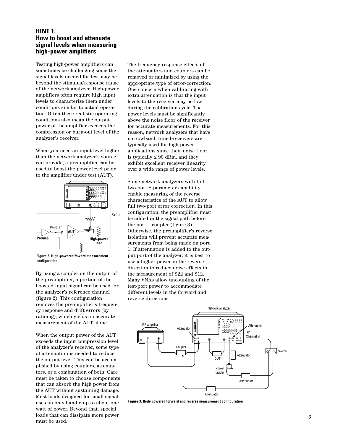### **HINT 1. How to boost and attenuate signal levels when measuring high-power amplifiers**

Testing high-power amplifiers can sometimes be challenging since the signal levels needed for test may be beyond the stimulus/response range of the network analyzer. High-power amplifiers often require high input levels to characterize them under conditions similar to actual operation. Often these realistic operating conditions also mean the output power of the amplifier exceeds the compression or burn-out level of the analyzer's receiver.

When you need an input level higher than the network analyzer's source can provide, a preamplifier can be used to boost the power level prior to the amplifier under test (AUT).



**Figure 2. High-powered foward measurement configuration**

By using a coupler on the output of the preamplifier, a portion of the boosted input signal can be used for the analyzer's reference channel (figure 2). This configuration removes the preamplifier's frequency response and drift errors (by ratioing), which yields an accurate measurement of the AUT alone.

When the output power of the AUT exceeds the input compression level of the analyzer's receiver, some type of attenuation is needed to reduce the output level. This can be accomplished by using couplers, attenuators, or a combination of both. Care must be taken to choose components that can absorb the high power from the AUT without sustaining damage. Most loads designed for small-signal use can only handle up to about one watt of power. Beyond that, special loads that can dissipate more power must be used.

The frequency-response effects of the attenuators and couplers can be removed or minimized by using the appropriate type of error-correction. One concern when calibrating with extra attenuation is that the input levels to the receiver may be low during the calibration cycle. The power levels must be significantly above the noise floor of the receiver for accurate measurements. For this reason, network analyzers that have narrowband, tuned-receivers are typically used for high-power applications since their noise floor is typically  $\leq 90$  dBm, and they exhibit excellent receiver linearity over a wide range of power levels.

Some network analyzers with full two-port S-parameter capability enable measuring of the reverse characteristics of the AUT to allow full two-port error correction. In this configuration, the preamplifier must be added in the signal path before the port 1 coupler (figure 3). Otherwise, the preamplifier's reverse isolation will prevent accurate measurements from being made on port 1. If attenuation is added to the output port of the analyzer, it is best to use a higher power in the reverse direction to reduce noise effects in the measurement of S22 and S12. Many VNAs allow uncoupling of the test-port power to accommodate different levels in the forward and reverse directions.



**Figure 3. High-powered forward and reverse measurement configuration**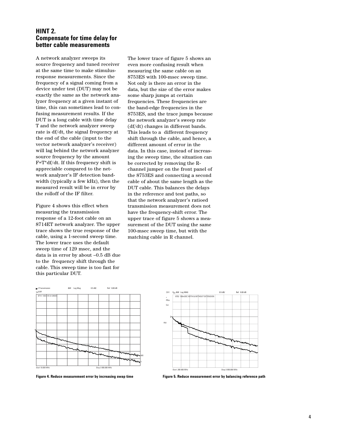### **HINT 2. Compensate for time delay for better cable measurements**

A network analyzer sweeps its source frequency and tuned receiver at the same time to make stimulusresponse measurements. Since the frequency of a signal coming from a device under test (DUT) may not be exactly the same as the network analyzer frequency at a given instant of time, this can sometimes lead to confusing measurement results. If the DUT is a long cable with time delay T and the network analyzer sweep rate is df/dt, the signal frequency at the end of the cable (input to the vector network analyzer's receiver) will lag behind the network analyzer source frequency by the amount F=T\*df/dt. If this frequency shift is appreciable compared to the network analyzer's IF detection bandwidth (typically a few kHz), then the measured result will be in error by the rolloff of the IF filter.

Figure 4 shows this effect when measuring the transmission response of a 12-foot cable on an 8714ET network analyzer. The upper trace shows the true response of the cable, using a 1-second sweep time. The lower trace uses the default sweep time of 129 msec, and the data is in error by about –0.5 dB due to the frequency shift through the cable. This sweep time is too fast for this particular DUT.

The lower trace of figure 5 shows an even more confusing result when measuring the same cable on an 8753ES with 100-msec sweep time. Not only is there an error in the data, but the size of the error makes some sharp jumps at certain frequencies. These frequencies are the band-edge frequencies in the 8753ES, and the trace jumps because the network analyzer's sweep rate (df/dt) changes in different bands. This leads to a different frequency shift through the cable, and hence, a different amount of error in the data. In this case, instead of increasing the sweep time, the situation can be corrected by removing the Rchannel jumper on the front panel of the 8753ES and connecting a second cable of about the same length as the DUT cable. This balances the delays in the reference and test paths, so that the network analyzer's ratioed transmission measurement does not have the frequency-shift error. The upper trace of figure 5 shows a measurement of the DUT using the same 100-msec sweep time, but with the matching cable in R channel.



**Figure 4. Reduce measurement error by increasing swap time**



**Figure 5. Reduce measurement error by balancing reference path**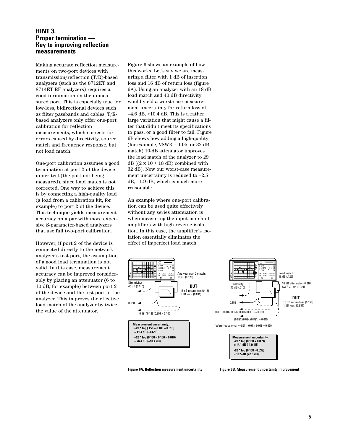### **HINT 3. Proper termination — Key to improving reflection measurements**

Making accurate reflection measurements on two-port devices with transmission/reflection (T/R)-based analyzers (such as the 8712ET and 8714ET RF analyzers) requires a good termination on the unmeasured port. This is especially true for low-loss, bidirectional devices such as filter passbands and cables. T/Rbased analyzers only offer one-port calibration for reflection measurements, which corrects for errors caused by directivity, source match and frequency response, but not load match.

One-port calibration assumes a good termination at port 2 of the device under test (the port not being measured), since load match is not corrected. One way to achieve this is by connecting a high-quality load (a load from a calibration kit, for example) to port 2 of the device. This technique yields measurement accuracy on a par with more expensive S-parameter-based analyzers that use full two-port calibration.

However, if port 2 of the device is connected directly to the network analyzer's test port, the assumption of a good load termination is not valid. In this case, measurement accuracy can be improved considerably by placing an attenuator (6 to 10 dB, for example) between port 2 of the device and the test port of the analyzer. This improves the effective load match of the analyzer by twice the value of the attenuator.

Figure 6 shows an example of how this works. Let's say we are measuring a filter with 1 dB of insertion loss and 16 dB of return loss (figure 6A). Using an analyzer with an 18 dB load match and 40 dB directivity would yield a worst-case measurement uncertainty for return loss of  $-4.6$  dB,  $+10.4$  dB. This is a rather large variation that might cause a filter that didn't meet its specifications to pass, or a good filter to fail. Figure 6B shows how adding a high-quality (for example,  $VSWR = 1.05$ , or 32 dB match) 10-dB attenuator improves the load match of the analyzer to 29  $dB$  [(2 x 10 + 18 dB) combined with 32 dB]. Now our worst-case measurement uncertainty is reduced to +2.5 dB, –1.9 dB, which is much more reasonable.

An example where one-port calibration can be used quite effectively without any series attenuation is when measuring the input match of amplifiers with high-reverse isolation. In this case, the amplifier's isolation essentially eliminates the effect of imperfect load match.



**Figure 6A. Reflection measurement uncertainty Figure 6B. Measurement uncertainty improvement**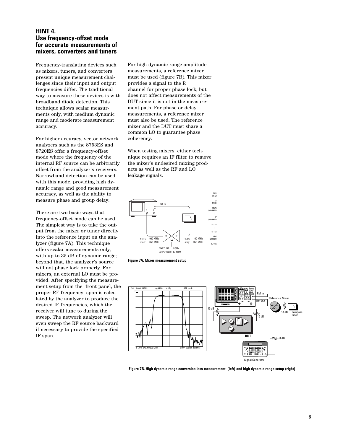### **HINT 4. Use frequency-offset mode for accurate measurements of mixers, converters and tuners**

Frequency-translating devices such as mixers, tuners, and converters present unique measurement challenges since their input and output frequencies differ. The traditional way to measure these devices is with broadband diode detection. This technique allows scalar measurments only, with medium dynamic range and moderate measurement accuracy.

For higher accuracy, vector network analyzers such as the 8753ES and 8720ES offer a frequency-offset mode where the frequency of the internal RF source can be arbitrarily offset from the analyzer's receivers. Narrowband detection can be used with this mode, providing high dynamic range and good measurement accuracy, as well as the ability to measure phase and group delay.

There are two basic ways that frequency-offset mode can be used. The simplest way is to take the output from the mixer or tuner directly into the reference input on the analyzer (figure 7A). This technique offers scalar measurements only, with up to 35 dB of dynamic range; beyond that, the analyzer's source will not phase lock properly. For mixers, an external LO must be provided. After specifying the measurement setup from the front panel, the proper RF frequency span is calculated by the analyzer to produce the desired IF frequencies, which the receiver will tune to during the sweep. The network analyzer will even sweep the RF source backward if necessary to provide the specified IF span.

For high-dynamic-range amplitude measurements, a reference mixer must be used (figure 7B). This mixer provides a signal to the R channel for proper phase lock, but does not affect measurements of the DUT since it is not in the measurement path. For phase or delay measurements, a reference mixer must also be used. The reference mixer and the DUT must share a common LO to guarantee phase coherency.

When testing mixers, either technique requires an IF filter to remove the mixer's undesired mixing products as well as the RF and LO leakage signals.







**Figure 7B. High dynamic range conversion loss measurement (left) and high dynamic range setup (right)**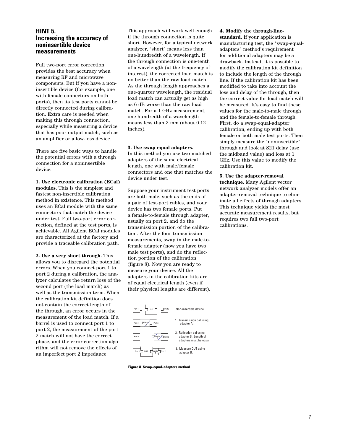### **HINT 5. Increasing the accuracy of noninsertible device measurements**

Full two-port error correction provides the best accuracy when measuring RF and microwave components. But if you have a noninsertible device (for example, one with female connectors on both ports), then its test ports cannot be directly connected during calibration. Extra care is needed when making this through connection, especially while measuring a device that has poor output match, such as an amplifier or a low-loss device.

There are five basic ways to handle the potential errors with a through connection for a noninsertible device:

**1. Use electronic calibration (ECal) modules.** This is the simplest and fastest non-insertible calibration method in existence. This method uses an ECal module with the same connectors that match the device under test. Full two-port error correction, defined at the test ports, is achievable. All Agilent ECal modules are characterized at the factory and provide a traceable calibration path.

**2. Use a very short through.** This allows you to disregard the potential errors. When you connect port 1 to port 2 during a calibration, the analyzer calculates the return loss of the second port (the load match) as well as the transmission term. When the calibration kit definition does not contain the correct length of the through, an error occurs in the measurement of the load match. If a barrel is used to connect port 1 to port 2, the measurement of the port 2 match will not have the correct phase, and the error-correction algorithm will not remove the effects of an imperfect port 2 impedance.

This approach will work well enough if the through connection is quite short. However, for a typical network analyzer, "short" means less than one-hundredth of a wavelength. If the through connection is one-tenth of a wavelength (at the frequency of interest), the corrected load match is no better than the raw load match. As the through length approaches a one-quarter wavelength, the residual load match can actually get as high as 6 dB worse than the raw load match. For a 1-GHz measurement, one-hundredth of a wavelength means less than 3 mm (about 0.12 inches).

#### **3. Use swap-equal-adapters.**

In this method you use two matched adapters of the same electrical length, one with male/female connectors and one that matches the device under test.

Suppose your instrument test ports are both male, such as the ends of a pair of test-port cables, and your device has two female ports. Put a female-to-female through adapter, usually on port 2, and do the transmission portion of the calibration. After the four transmission measurements, swap in the male-tofemale adapter (now you have two male test ports), and do the reflection portion of the calibration (figure 8). Now you are ready to measure your device. All the adapters in the calibration kits are of equal electrical length (even if their physical lengths are different).



**Figure 8. Swap-equal-adapters method**

#### **4. Modify the through-line-**

**standard.** If your application is manufacturing test, the "swap-equaladapters" method's requirement for additional adapters may be a drawback. Instead, it is possible to modify the calibration kit definition to include the length of the through line. If the calibration kit has been modified to take into account the loss and delay of the through, then the correct value for load match will be measured. It's easy to find these values for the male-to-male through and the female-to-female through. First, do a swap-equal-adapter calibration, ending up with both female or both male test ports. Then simply measure the "noninsertible" through and look at S21 delay (use the midband value) and loss at 1 GHz. Use this value to modify the calibration kit.

#### **5. Use the adapter-removal**

**technique.** Many Agilent vector network analyzer models offer an adapter-removal technique to eliminate all effects of through adapters. This technique yields the most accurate measurement results, but requires two full two-port calibrations.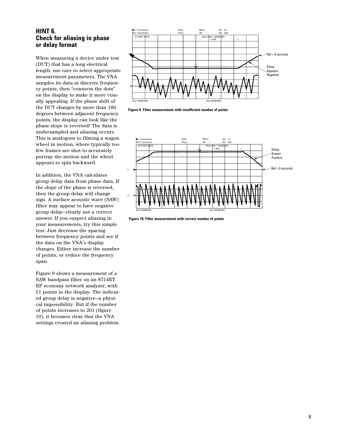### **HINT 6. Check for aliasing in phase or delay format**

When measuring a device under test (DUT) that has a long electrical length, use care to select appropriate measurement parameters. The VNA samples its data at discrete frequency points, then "connects the dots" on the display to make it more visually appealing. If the phase shift of the DUT changes by more than 180 degrees between adjacent frequency points, the display can look like the phase slope is reversed! The data is undersampled and aliasing occurs. This is analogous to filming a wagon wheel in motion, where typically too few frames are shot to accurately portray the motion and the wheel appears to spin backward.

In addition, the VNA calculates group delay data from phase data. If the slope of the phase is reversed, then the group delay will change sign. A surface acoustic wave (SAW) filter may appear to have negative group delay—clearly not a correct answer. If you suspect aliasing in your measurements, try this simple test. Just decrease the spacing between frequency points and see if the data on the VNA's display changes. Either increase the number of points, or reduce the frequency span.

Figure 9 shows a measurement of a SAW bandpass filter on an 8714ET RF economy network analyzer, with 51 points in the display. The indicated group delay is negative—a physical impossibility. But if the number of points increases to 201 (figure 10), it becomes clear that the VNA settings created an aliasing problem.



**Figure 9. Filter measurement with insufficient number of points**



**Figure 10. Filter measurement with correct number of points**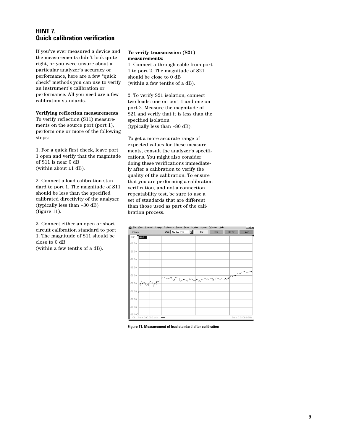### **HINT7. Quick calibration verification**

If you've ever measured a device and the measurements didn't look quite right, or you were unsure about a particular analyzer's accuracy or performance, here are a few "quick check" methods you can use to verify an instrument's calibration or performance. All you need are a few calibration standards.

### **Verifying reflection measurements**

To verify reflection (S11) measurements on the source port (port 1), perform one or more of the following steps:

1. For a quick first check, leave port 1 open and verify that the magnitude of S11 is near 0 dB (within about ±1 dB).

2. Connect a load calibration standard to port 1. The magnitude of S11 should be less than the specified calibrated directivity of the analyzer (typically less than –30 dB) (figure 11).

3. Connect either an open or short circuit calibration standard to port 1. The magnitude of S11 should be close to 0 dB (within a few tenths of a dB).

#### **To verify transmission (S21) measurements:**

1. Connect a through cable from port 1 to port 2. The magnitude of S21 should be close to 0 dB (within a few tenths of a dB).

2. To verify S21 isolation, connect two loads: one on port 1 and one on port 2. Measure the magnitude of S21 and verify that it is less than the specified isolation (typically less than –80 dB).

To get a more accurate range of expected values for these measurements, consult the analyzer's specifications. You might also consider doing these verifications immediately after a calibration to verify the quality of the calibration. To ensure that you are performing a calibration verification, and not a connection repeatability test, be sure to use a set of standards that are different than those used as part of the calibration process.



**Figure 11. Measurement of load standard after calibration**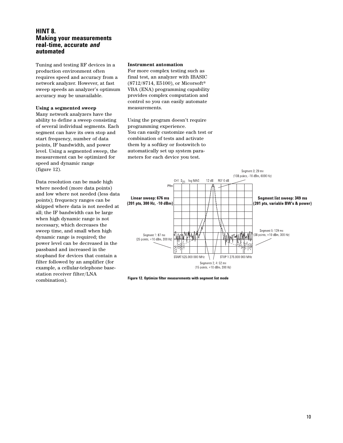### **HINT 8. Making your measurements real-time, accurate** *and*  **automated**

Tuning and testing RF devices in a production environment often requires speed and accuracy from a network analyzer. However, at fast sweep speeds an analyzer's optimum accuracy may be unavailable.

#### **Using a segmented sweep**

Many network analyzers have the ability to define a sweep consisting of several individual segments. Each segment can have its own stop and start frequency, number of data points, IF bandwidth, and power level. Using a segmented sweep, the measurement can be optimized for speed and dynamic range (figure 12).

Data resolution can be made high where needed (more data points) and low where not needed (less data points); frequency ranges can be skipped where data is not needed at all; the IF bandwidth can be large when high dynamic range is not necessary, which decreases the sweep time, and small when high dynamic range is required; the power level can be decreased in the passband and increased in the stopband for devices that contain a filter followed by an amplifier (for example, a cellular-telephone basestation receiver filter/LNA combination).

#### **Instrument automation**

For more complex testing such as final test, an analyzer with IBASIC (8712/8714, E5100), or Micorsoft® VBA (ENA) programming capability provides complex computation and control so you can easily automate measurements.

Using the program doesn't require programming experience. You can easily customize each test or combination of tests and activate them by a softkey or footswitch to automatically set up system parameters for each device you test.



**Figure 12. Optimize filter measurements with segment list mode**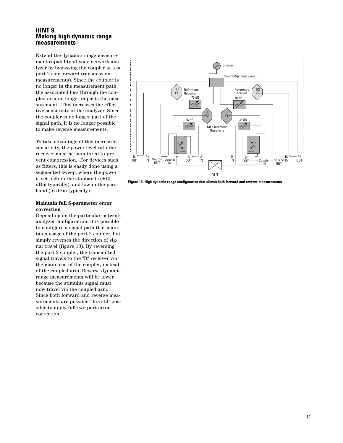#### **HINT 9. Making high dynamic range measurements**

Extend the dynamic range measurement capability of your network analyzer by bypassing the coupler at test port 2 (for forward transmission measurements). Since the coupler is no longer in the measurement path, the associated loss through the coupled arm no longer impacts the measurement. This increases the effective sensitivity of the analyzer. Since the coupler is no longer part of the signal path, it is no longer possible to make reverse measurements.

To take advantage of this increased sensitivity, the power level into the receiver must be monitored to prevent compression. For devices such as filters, this is easily done using a segmented sweep, where the power is set high in the stopbands (+10 dBm typically), and low in the passband (-6 dBm typically).

#### **Maintain full S-parameter error correction**

Depending on the particular network analyzer configuration, it is possible to configure a signal path that maintains usage of the port 2 coupler, but simply reverses the direction of signal travel (figure 13). By reversing the port 2 coupler, the transmitted signal travels to the "B" receiver via the main arm of the coupler, instead of the coupled arm. Reverse dynamic range measurements will be lower because the stimulus signal must now travel via the coupled arm. Since both forward and reverse measurements are possible, it is still possible to apply full two-port error correction.



**Figure 13. High dynamic range configuration that allows both forward and reverse measurements**